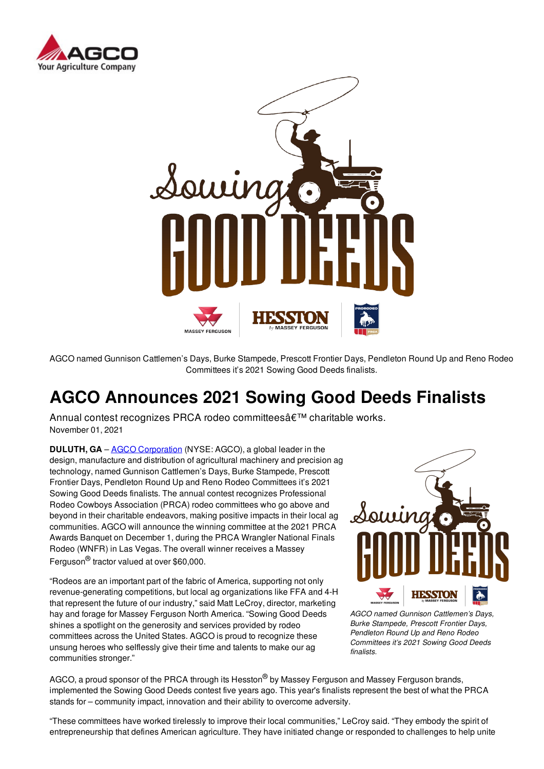



AGCO named Gunnison Cattlemen's Days, Burke Stampede, Prescott Frontier Days, Pendleton Round Up and Reno Rodeo Committees it's 2021 Sowing Good Deeds finalists.

# **AGCO Announces 2021 Sowing Good Deeds Finalists**

Annual contest recognizes PRCA rodeo committees a€<sup>™</sup> charitable works. November 01, 2021

**DULUTH, GA** – **AGCO Corporation** (NYSE: AGCO), a global leader in the design, manufacture and distribution of agricultural machinery and precision ag technology, named Gunnison Cattlemen's Days, Burke Stampede, Prescott Frontier Days, Pendleton Round Up and Reno Rodeo Committees it's 2021 Sowing Good Deeds finalists. The annual contest recognizes Professional Rodeo Cowboys Association (PRCA) rodeo committees who go above and beyond in their charitable endeavors, making positive impacts in their local ag communities. AGCO will announce the winning committee at the 2021 PRCA Awards Banquet on December 1, during the PRCA Wrangler National Finals Rodeo (WNFR) in Las Vegas. The overall winner receives a Massey Ferguson® tractor valued at over \$60,000.

"Rodeos are an important part of the fabric of America, supporting not only revenue-generating competitions, but local ag organizations like FFA and 4-H that represent the future of our industry," said Matt LeCroy, director, marketing hay and forage for Massey Ferguson North America. "Sowing Good Deeds shines a spotlight on the generosity and services provided by rodeo committees across the United States. AGCO is proud to recognize these unsung heroes who selflessly give their time and talents to make our ag communities stronger."



*AGCO named Gunnison Cattlemen's Days, Burke Stampede, Prescott Frontier Days, Pendleton Round Up and Reno Rodeo Committees it's 2021 Sowing Good Deeds finalists.*

AGCO, a proud sponsor of the PRCA through its Hesston<sup>®</sup> by Massey Ferguson and Massey Ferguson brands, implemented the Sowing Good Deeds contest five years ago. This year's finalists represent the best of what the PRCA stands for – community impact, innovation and their ability to overcome adversity.

"These committees have worked tirelessly to improve their local communities," LeCroy said. "They embody the spirit of entrepreneurship that defines American agriculture. They have initiated change or responded to challenges to help unite